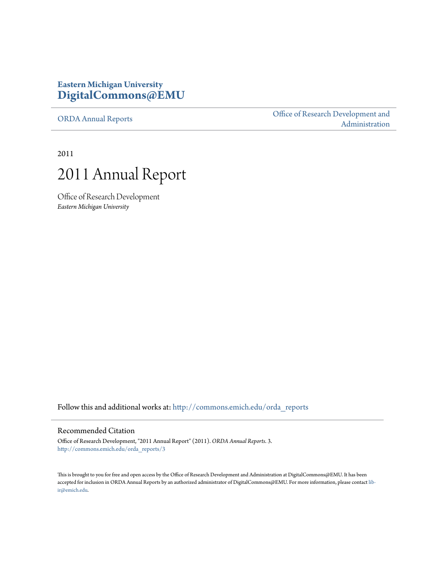### **Eastern Michigan University [DigitalCommons@EMU](http://commons.emich.edu?utm_source=commons.emich.edu%2Forda_reports%2F3&utm_medium=PDF&utm_campaign=PDFCoverPages)**

[ORDA Annual Reports](http://commons.emich.edu/orda_reports?utm_source=commons.emich.edu%2Forda_reports%2F3&utm_medium=PDF&utm_campaign=PDFCoverPages)

[Office of Research Development and](http://commons.emich.edu/orda?utm_source=commons.emich.edu%2Forda_reports%2F3&utm_medium=PDF&utm_campaign=PDFCoverPages) [Administration](http://commons.emich.edu/orda?utm_source=commons.emich.edu%2Forda_reports%2F3&utm_medium=PDF&utm_campaign=PDFCoverPages)

2011



Office of Research Development *Eastern Michigan University*

Follow this and additional works at: [http://commons.emich.edu/orda\\_reports](http://commons.emich.edu/orda_reports?utm_source=commons.emich.edu%2Forda_reports%2F3&utm_medium=PDF&utm_campaign=PDFCoverPages)

#### Recommended Citation

Office of Research Development, "2011 Annual Report" (2011). *ORDA Annual Reports*. 3. [http://commons.emich.edu/orda\\_reports/3](http://commons.emich.edu/orda_reports/3?utm_source=commons.emich.edu%2Forda_reports%2F3&utm_medium=PDF&utm_campaign=PDFCoverPages)

This is brought to you for free and open access by the Office of Research Development and Administration at DigitalCommons@EMU. It has been accepted for inclusion in ORDA Annual Reports by an authorized administrator of DigitalCommons@EMU. For more information, please contact [lib](mailto:lib-ir@emich.edu)[ir@emich.edu](mailto:lib-ir@emich.edu).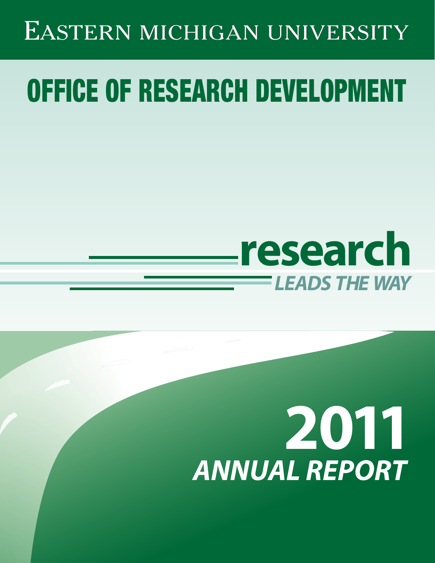# EASTERN MICHIGAN UNIVERSITY

# OFFICE OF RESEARCH DEVELOPMENT

# **research** *LEADS THE WAY*

# **2011** *ANNUAL REPORT*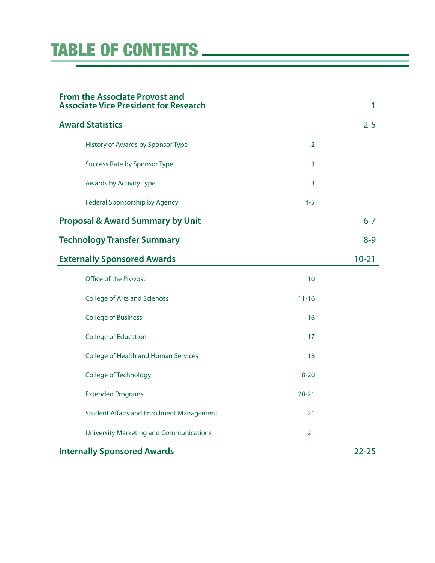# TABLE OF CONTENTS

| <b>From the Associate Provost and</b><br><b>Associate Vice President for Research</b> |                | 1         |
|---------------------------------------------------------------------------------------|----------------|-----------|
| <b>Award Statistics</b>                                                               |                | $2 - 5$   |
| History of Awards by Sponsor Type                                                     | $\overline{2}$ |           |
| Success Rate by Sponsor Type                                                          | 3              |           |
| <b>Awards by Activity Type</b>                                                        | 3              |           |
| Federal Sponsorship by Agency                                                         | $4 - 5$        |           |
| <b>Proposal &amp; Award Summary by Unit</b>                                           |                | $6 - 7$   |
| <b>Technology Transfer Summary</b>                                                    |                | $8 - 9$   |
| <b>Externally Sponsored Awards</b>                                                    |                | $10 - 21$ |
| Office of the Provost                                                                 | 10             |           |
| <b>College of Arts and Sciences</b>                                                   | $11 - 16$      |           |
| <b>College of Business</b>                                                            | 16             |           |
| <b>College of Education</b>                                                           | 17             |           |
| College of Health and Human Services                                                  | 18             |           |
| College of Technology                                                                 | $18 - 20$      |           |
| <b>Extended Programs</b>                                                              | $20 - 21$      |           |
| <b>Student Affairs and Enrollment Management</b>                                      | 21             |           |
| <b>University Marketing and Communications</b>                                        | 21             |           |
| <b>Internally Sponsored Awards</b>                                                    |                | $22 - 25$ |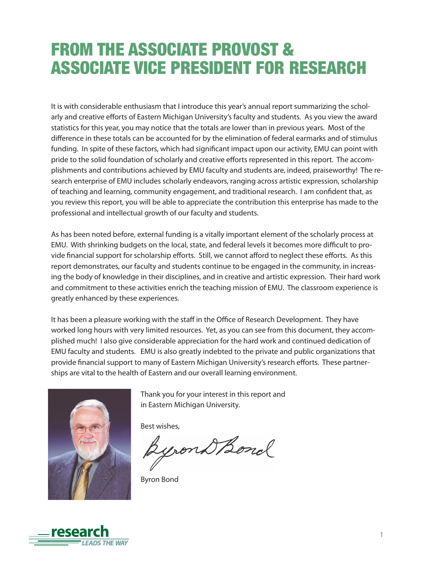# FROM THE ASSOCIATE PROVOST & ASSOCIATE VICE PRESIDENT FOR RESEARCH

It is with considerable enthusiasm that I introduce this year's annual report summarizing the scholarly and creative efforts of Eastern Michigan University's faculty and students. As you view the award statistics for this year, you may notice that the totals are lower than in previous years. Most of the difference in these totals can be accounted for by the elimination of federal earmarks and of stimulus funding. In spite of these factors, which had significant impact upon our activity, EMU can point with pride to the solid foundation of scholarly and creative efforts represented in this report. The accomplishments and contributions achieved by EMU faculty and students are, indeed, praiseworthy! The research enterprise of EMU includes scholarly endeavors, ranging across artistic expression, scholarship of teaching and learning, community engagement, and traditional research. I am confident that, as you review this report, you will be able to appreciate the contribution this enterprise has made to the professional and intellectual growth of our faculty and students.

As has been noted before, external funding is a vitally important element of the scholarly process at EMU. With shrinking budgets on the local, state, and federal levels it becomes more difficult to provide financial support for scholarship efforts. Still, we cannot afford to neglect these efforts. As this report demonstrates, our faculty and students continue to be engaged in the community, in increasing the body of knowledge in their disciplines, and in creative and artistic expression. Their hard work and commitment to these activities enrich the teaching mission of EMU. The classroom experience is greatly enhanced by these experiences.

It has been a pleasure working with the staff in the Office of Research Development. They have worked long hours with very limited resources. Yet, as you can see from this document, they accomplished much! I also give considerable appreciation for the hard work and continued dedication of EMU faculty and students. EMU is also greatly indebted to the private and public organizations that provide financial support to many of Eastern Michigan University's research efforts. These partnerships are vital to the health of Eastern and our overall learning environment.



Thank you for your interest in this report and in Eastern Michigan University.

Best wishes,

wond Bond

Byron Bond

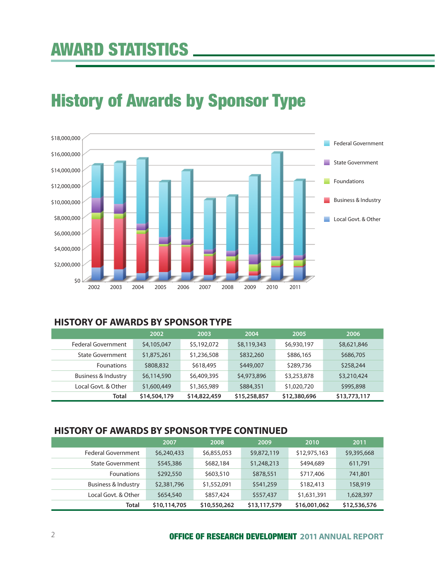# History of Awards by Sponsor Type



### **HISTORY OF AWARDS BY SPONSOR TYPE**

|                         | 2002         | 2003         | 2004         | 2005         | 2006         |
|-------------------------|--------------|--------------|--------------|--------------|--------------|
| Federal Government      | \$4,105,047  | \$5,192,072  | \$8,119,343  | \$6,930,197  | \$8,621,846  |
| <b>State Government</b> | \$1,875,261  | \$1,236,508  | \$832,260    | \$886,165    | \$686,705    |
| <b>Founations</b>       | \$808,832    | \$618,495    | \$449,007    | \$289,736    | \$258,244    |
| Business & Industry     | \$6,114,590  | \$6,409,395  | \$4,973,896  | \$3,253,878  | \$3,210,424  |
| Local Govt. & Other     | \$1,600,449  | \$1,365,989  | \$884,351    | \$1,020,720  | \$995,898    |
| Total                   | \$14,504,179 | \$14,822,459 | \$15,258,857 | \$12,380,696 | \$13,773,117 |

### **HISTORY OF AWARDS BY SPONSOR TYPE CONTINUED**

|                         | 2007         | 2008         | 2009         | 2010         | 2011         |
|-------------------------|--------------|--------------|--------------|--------------|--------------|
| Federal Government      | \$6,240,433  | \$6,855,053  | \$9,872,119  | \$12,975,163 | \$9,395,668  |
| <b>State Government</b> | \$545,386    | \$682,184    | \$1,248,213  | \$494,689    | 611,791      |
| <b>Founations</b>       | \$292,550    | \$603,510    | \$878,551    | \$717,406    | 741,801      |
| Business & Industry     | \$2,381,796  | \$1,552,091  | \$541,259    | \$182,413    | 158,919      |
| Local Govt. & Other     | \$654,540    | \$857,424    | \$557,437    | \$1,631,391  | 1,628,397    |
| Total                   | \$10,114,705 | \$10,550,262 | \$13,117,579 | \$16,001,062 | \$12,536,576 |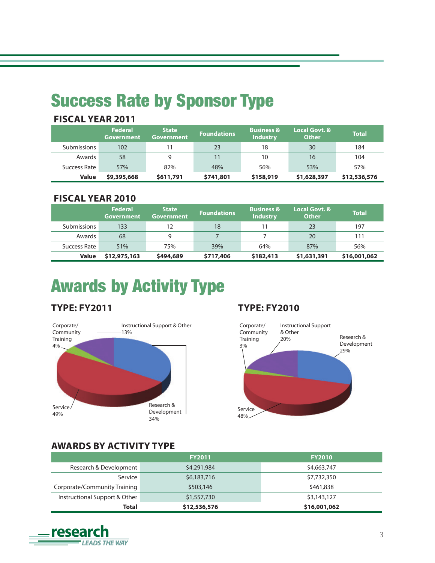# Success Rate by Sponsor Type

| FISLAL TEAR ZUTT |                                     |                            |                    |                                          |                        |              |
|------------------|-------------------------------------|----------------------------|--------------------|------------------------------------------|------------------------|--------------|
|                  | <b>Federal</b><br><b>Government</b> | <b>State</b><br>Government | <b>Foundations</b> | <b>Business &amp;</b><br><b>Industry</b> | Local Govt. &<br>Other | <b>Total</b> |
| Submissions      | 102                                 |                            | 23                 | 18                                       | 30                     | 184          |
| Awards           | 58                                  | 9                          | 11                 | 10                                       | 16                     | 104          |
| Success Rate     | 57%                                 | 82%                        | 48%                | 56%                                      | 53%                    | 57%          |
| <b>Value</b>     | \$9,395,668                         | \$611,791                  | \$741,801          | \$158,919                                | \$1,628,397            | \$12,536,576 |

# **FISCAL YEAR 2011**

### **FISCAL YEAR 2010**

|                    | <b>Federal</b><br>Government | <b>State</b><br><b>Government</b> | <b>Foundations</b> | <b>Business &amp;</b><br><b>Industry</b> | Local Govt. &<br><b>Other</b> | <b>Total</b> |
|--------------------|------------------------------|-----------------------------------|--------------------|------------------------------------------|-------------------------------|--------------|
| <b>Submissions</b> | 133                          | 12                                | 18                 |                                          | 23                            | 197          |
| Awards             | 68                           | 9                                 |                    |                                          | 20                            | 111          |
| Success Rate       | 51%                          | 75%                               | 39%                | 64%                                      | 87%                           | 56%          |
| <b>Value</b>       | \$12,975,163                 | \$494,689                         | \$717,406          | \$182,413                                | \$1,631,391                   | \$16,001,062 |

# Awards by Activity Type

# **TYPE: FY2011**



# **TYPE: FY2010**



### **AWARDS BY ACTIVITY TYPE**

|                               | <b>FY2011</b> | <b>FY2010</b> |
|-------------------------------|---------------|---------------|
| Research & Development        | \$4,291,984   | \$4,663,747   |
| Service                       | \$6,183,716   | \$7,732,350   |
| Corporate/Community Training  | \$503,146     | \$461,838     |
| Instructional Support & Other | \$1,557,730   | \$3,143,127   |
| Total                         | \$12,536,576  | \$16,001,062  |

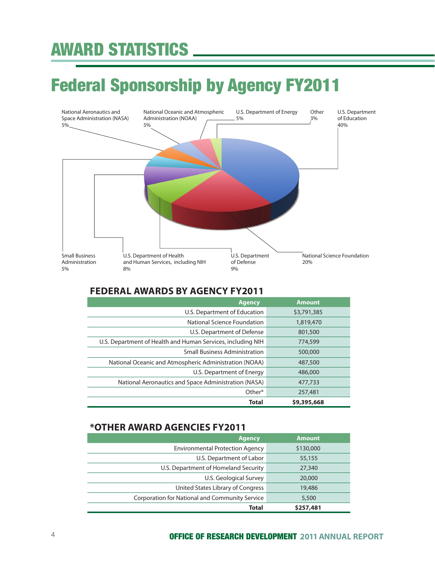# AWARD STATISTICS

# Federal Sponsorship by Agency FY2011



### **FEDERAL AWARDS BY AGENCY FY2011**

| <b>Agency</b>                                               | <b>Amount</b> |
|-------------------------------------------------------------|---------------|
| U.S. Department of Education                                | \$3,791,385   |
| National Science Foundation                                 | 1,819,470     |
| U.S. Department of Defense                                  | 801,500       |
| U.S. Department of Health and Human Services, including NIH | 774,599       |
| <b>Small Business Administration</b>                        | 500,000       |
| National Oceanic and Atmospheric Administration (NOAA)      | 487,500       |
| U.S. Department of Energy                                   | 486,000       |
| National Aeronautics and Space Administration (NASA)        | 477,733       |
| Other*                                                      | 257,481       |
| <b>Total</b>                                                | \$9,395,668   |

### **\*OTHER AWARD AGENCIES FY2011**

| <b>Agency</b>                                  | <b>Amount</b> |
|------------------------------------------------|---------------|
| <b>Environmental Protection Agency</b>         | \$130,000     |
| U.S. Department of Labor                       | 55,155        |
| U.S. Department of Homeland Security           | 27,340        |
| U.S. Geological Survey                         | 20,000        |
| United States Library of Congress              | 19,486        |
| Corporation for National and Community Service | 5,500         |
| <b>Total</b>                                   | \$257,481     |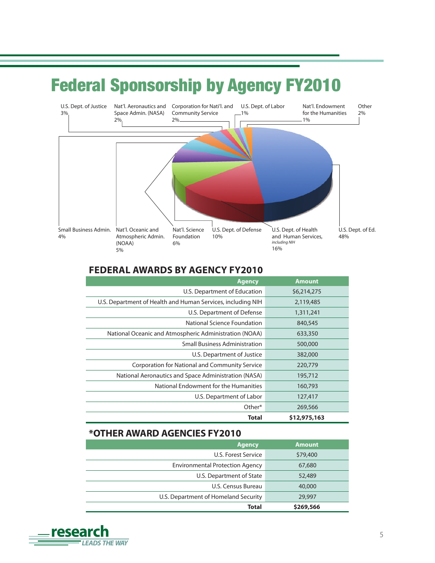# Federal Sponsorship by Agency FY2010



### **FEDERAL AWARDS BY AGENCY FY2010**

| <b>Agency</b>                                               | <b>Amount</b> |
|-------------------------------------------------------------|---------------|
| U.S. Department of Education                                | \$6,214,275   |
| U.S. Department of Health and Human Services, including NIH | 2,119,485     |
| U.S. Department of Defense                                  | 1,311,241     |
| National Science Foundation                                 | 840,545       |
| National Oceanic and Atmospheric Administration (NOAA)      | 633,350       |
| <b>Small Business Administration</b>                        | 500,000       |
| U.S. Department of Justice                                  | 382,000       |
| Corporation for National and Community Service              | 220,779       |
| National Aeronautics and Space Administration (NASA)        | 195,712       |
| National Endowment for the Humanities                       | 160,793       |
| U.S. Department of Labor                                    | 127,417       |
| Other*                                                      | 269,566       |
| Total                                                       | \$12,975,163  |

### **\*OTHER AWARD AGENCIES FY2010**

| <b>Agency</b>                          | <b>Amount</b> |
|----------------------------------------|---------------|
| U.S. Forest Service                    | \$79,400      |
| <b>Environmental Protection Agency</b> | 67,680        |
| U.S. Department of State               | 52,489        |
| U.S. Census Bureau                     | 40,000        |
| U.S. Department of Homeland Security   | 29,997        |
| Total                                  | \$269,566     |

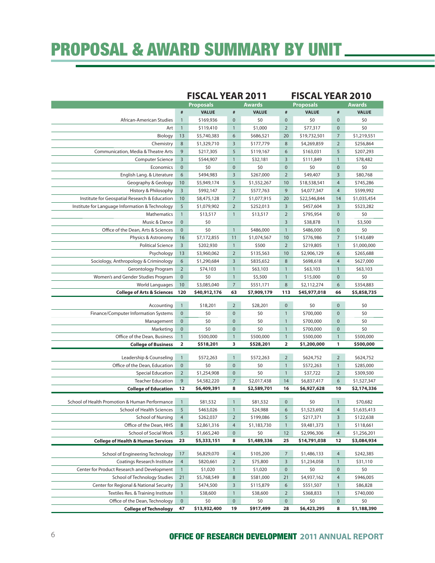# PROPOSAL & AWARD SUMMARY BY UNIT

|                                                 |                         | <b>FISCAL YEAR 2011</b> |                |               |                         | <b>FISCAL YEAR 2010</b> |                |               |
|-------------------------------------------------|-------------------------|-------------------------|----------------|---------------|-------------------------|-------------------------|----------------|---------------|
|                                                 |                         | <b>Proposals</b>        |                | <b>Awards</b> |                         | <b>Proposals</b>        |                | <b>Awards</b> |
|                                                 | #                       | <b>VALUE</b>            | $\#$           | <b>VALUE</b>  | $\#$                    | <b>VALUE</b>            | $\#$           | <b>VALUE</b>  |
| African-American Studies                        | $\mathbf{1}$            | \$169,936               | $\mathbf{0}$   | \$0           | $\mathbf{0}$            | \$0                     | $\mathbf{0}$   | \$0           |
| Art                                             | $\overline{1}$          | \$119,410               | $\mathbf{1}$   | \$1,000       | $\overline{2}$          | \$77,317                | $\mathbf 0$    | \$0           |
| Biology                                         | 13                      | \$5,740,383             | 6              | \$686,521     | 20                      | \$19,732,501            | $\overline{7}$ | \$1,219,551   |
| Chemistry                                       | 8                       | \$1,329,710             | $\overline{3}$ | \$177,779     | 8                       | \$4,269,859             | $\overline{2}$ | \$256,864     |
| Communication, Media & Theatre Arts             | 9                       | \$217,305               | 5              | \$119,167     | 6                       | \$163,031               | 5              | \$207,293     |
| <b>Computer Science</b>                         | $\overline{3}$          | \$544,907               | $\overline{1}$ | \$32,181      | $\overline{3}$          | \$111,849               | $\mathbf{1}$   | \$78,482      |
| Economics                                       | $\mathbf{0}$            | \$0                     | $\bf 0$        | \$0           | $\bf 0$                 | \$0                     | $\mathbf 0$    | \$0           |
| English Lang. & Literature                      | 6                       | \$494,983               | 3              | \$267,000     | $\overline{2}$          | \$49,407                | 3              | \$80,768      |
| Geography & Geology                             | 10                      | \$5,949,174             | 5              | \$1,552,267   | 10                      | \$18,538,541            | $\overline{4}$ | \$745,286     |
| History & Philosophy                            | $\overline{3}$          | \$992,147               | $\overline{2}$ | \$577,763     | 9                       | \$4,077,347             | $\overline{4}$ | \$599,992     |
| Institute for Geospatial Research & Education   | 10                      | \$8,475,128             | $\overline{7}$ | \$1,077,915   | 20                      | \$22,546,844            | 14             | \$1,035,454   |
| Institute for Language Information & Technology | 5                       | \$1,079,902             | $\overline{2}$ | \$252,013     | $\overline{3}$          | \$457,604               | $\overline{3}$ | \$523,282     |
| Mathematics                                     | $\mathbf{1}$            | \$13,517                | $\mathbf{1}$   | \$13,517      | $\overline{2}$          | \$795,954               | $\mathbf{0}$   | \$0           |
| Music & Dance                                   | $\mathbf{0}$            | \$0                     |                |               | 3                       | \$38,878                | $\mathbf{1}$   | \$3,500       |
| Office of the Dean, Arts & Sciences             | $\mathbf{0}$            | \$0                     | $\overline{1}$ | \$486,000     | $\overline{1}$          | \$486,000               | $\mathbf 0$    | \$0           |
| Physics & Astronomy                             | 16                      | \$7,172,855             | 11             | \$1,074,567   | 10                      | \$776,986               | $\overline{7}$ | \$143,689     |
| <b>Political Science</b>                        | $\overline{3}$          | \$202,930               | $\mathbf{1}$   | \$500         | $\overline{2}$          | \$219,805               | $\mathbf{1}$   | \$1,000,000   |
| Psychology                                      | 13                      | \$3,960,062             | $\overline{2}$ | \$135,563     | 10                      | \$2,906,129             | 6              | \$265,688     |
| Sociology, Anthropology & Criminology           | 6                       | \$1,290,684             | 3              | \$835,652     | 8                       | \$698,618               | $\overline{4}$ | \$627,000     |
| Gerontology Program                             | $\overline{2}$          | \$74,103                | $\mathbf{1}$   | \$63,103      | $\mathbf{1}$            | \$63,103                | $\mathbf{1}$   | \$63,103      |
| Women's and Gender Studies Program              | $\mathbf{0}$            | \$0                     | $\mathbf{1}$   | \$5,500       | $\overline{1}$          | \$15,000                | $\mathbf{0}$   | \$0           |
| <b>World Languages</b>                          | 10                      | \$3,085,040             | $\overline{7}$ | \$551,171     | 8                       | \$2,112,274             | 6              | \$354,883     |
| <b>College of Arts &amp; Sciences</b>           | 120                     | \$40,912,176            | 63             | \$7,909,179   | 113                     | \$45,977,018            | 66             | \$5,858,735   |
|                                                 |                         |                         |                |               | $\mathbf{0}$            |                         | $\mathbf{0}$   |               |
| Accounting                                      | $\mathbf{1}$            | \$18,201                | $\overline{2}$ | \$28,201      |                         | \$0                     |                | \$0           |
| Finance/Computer Information Systems            | $\mathbf{0}$            | \$0                     | $\mathbf 0$    | \$0           | $\overline{1}$          | \$700,000               | $\mathbf 0$    | \$0           |
| Management                                      | $\mathbf{0}$            | \$0                     | $\mathbf 0$    | \$0           | $\overline{1}$          | \$700,000               | $\mathbf 0$    | \$0           |
| Marketing                                       | $\mathbf{0}$            | \$0                     | $\mathbf{0}$   | \$0           | $\mathbf{1}$            | \$700,000               | $\mathbf{0}$   | \$0           |
| Office of the Dean, Business                    | $\mathbf{1}$            | \$500,000               | $\mathbf{1}$   | \$500,000     | $\overline{1}$          | \$500,000               | $\overline{1}$ | \$500,000     |
| <b>College of Business</b>                      | $\overline{\mathbf{2}}$ | \$518,201               | 3              | \$528,201     | $\overline{\mathbf{2}}$ | \$1,200,000             | 1              | \$500,000     |
| Leadership & Counseling                         | $\mathbf{1}$            | \$572,263               | $\overline{1}$ | \$572,263     | $\overline{2}$          | \$624,752               | $\overline{2}$ | \$624,752     |
| Office of the Dean, Education                   | $\mathbf{0}$            |                         |                |               |                         |                         |                |               |
|                                                 |                         | \$0                     | $\mathbf{0}$   | \$0           | $\mathbf{1}$            | \$572,263               | $\mathbf{1}$   | \$285,000     |
| <b>Special Education</b>                        | $\overline{2}$          | \$1,254,908             | $\mathbf 0$    | \$0           | $\overline{1}$          | \$37,722                | $\overline{2}$ | \$309,500     |
| <b>Teacher Education</b>                        | 9                       | \$4,582,220             | $\overline{7}$ | \$2,017,438   | 14                      | \$6,837,417             | 6              | \$1,527,347   |
| <b>College of Education</b>                     | 12                      | \$6,409,391             | 8              | \$2,589,701   | 16                      | \$6,927,628             | 10             | \$2,174,336   |
|                                                 |                         |                         |                |               |                         |                         |                |               |
| School of Health Promotion & Human Performance  | $\mathbf{1}$            | \$81,532                | $\mathbf{1}$   | \$81,532      | $\mathbf{0}$            | \$0                     | $\mathbf{1}$   | \$70,682      |
| School of Health Sciences                       | 5                       | \$463,026               | $\mathbf{1}$   | \$24,988      | 6                       | \$1,523,692             | $\overline{4}$ | \$1,635,413   |
| School of Nursing                               | $\overline{4}$          | \$262,037               | $\overline{2}$ | \$199,086     | 5                       | \$217,371               | 3              | \$122,638     |
| Office of the Dean, HHS                         | 8                       | \$2,861,316             | $\overline{4}$ | \$1,183,730   | $\mathbf{1}$            | \$9,481,373             | $\mathbf{1}$   | \$118,661     |
| School of Social Work                           | 5                       | \$1,665,240             | $\mathbf 0$    | \$0           | 12                      | \$2,996,306             | $\overline{4}$ | \$1,256,201   |
| <b>College of Health &amp; Human Services</b>   | 23                      | \$5,333,151             | 8              | \$1,489,336   | 25                      | \$14,791,038            | 12             | \$3,084,934   |
| School of Engineering Technology                | 17                      | \$6,829,070             | $\overline{4}$ | \$105,200     | $\overline{7}$          | \$1,486,133             | $\overline{4}$ | \$242,385     |
| Coatings Research Institute                     | $\overline{4}$          | \$820,661               | $\overline{2}$ | \$75,800      | 3                       | \$1,234,058             | $\mathbf{1}$   | \$31,110      |
| Center for Product Research and Development     | $\mathbf{1}$            | \$1,020                 | $\mathbf{1}$   | \$1,020       | $\bf 0$                 | \$0                     | $\pmb{0}$      | \$0           |
| School of Technology Studies                    | 21                      | \$5,768,549             | 8              | \$581,000     | 21                      | \$4,937,162             | $\overline{4}$ | \$946,005     |
| Center for Regional & National Security         | $\overline{3}$          | \$474,500               | 3              | \$115,879     | 6                       | \$551,507               | $\mathbf{1}$   | \$86,828      |
| Textiles Res. & Training Institute              | $\mathbf{1}$            | \$38,600                | $\mathbf{1}$   | \$38,600      | $\overline{2}$          | \$368,833               | $\overline{1}$ | \$740,000     |
| Office of the Dean, Technology                  | $\mathbf 0$             | \$0                     | $\pmb{0}$      | \$0           | $\mathbf 0$             | \$0                     | $\mathbf 0$    | \$0           |

### 6 OFFICE OF RESEARCH DEVELOPMENT**2011 ANNUAL REPORT**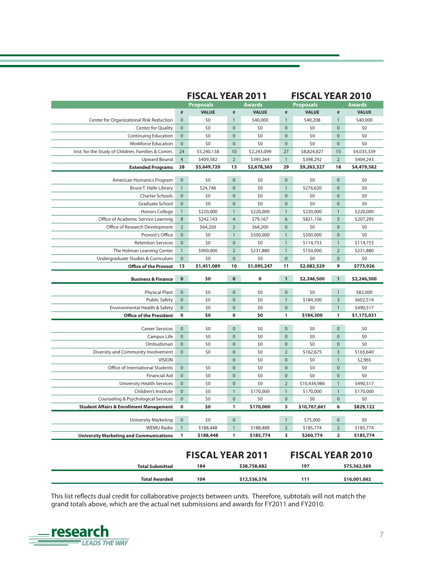| <b>Proposals</b><br><b>VALUE</b><br>$\#$<br>\$40,208<br>$\mathbf{1}$<br>\$0<br>$\mathbf{0}$<br>\$0<br>$\mathbf 0$<br>$\pmb{0}$<br>\$0<br>\$8,824,827<br>15<br>\$398,292<br>$\overline{2}$ | <b>Awards</b><br><b>VALUE</b><br>\$40,000<br>\$0<br>\$0<br>\$0 |
|-------------------------------------------------------------------------------------------------------------------------------------------------------------------------------------------|----------------------------------------------------------------|
|                                                                                                                                                                                           |                                                                |
|                                                                                                                                                                                           |                                                                |
|                                                                                                                                                                                           |                                                                |
|                                                                                                                                                                                           |                                                                |
|                                                                                                                                                                                           |                                                                |
|                                                                                                                                                                                           |                                                                |
|                                                                                                                                                                                           | \$4,035,339                                                    |
|                                                                                                                                                                                           | \$404,243                                                      |
| \$9,263,327<br>18                                                                                                                                                                         | \$4,479,582                                                    |
| \$0<br>$\pmb{0}$                                                                                                                                                                          | \$0                                                            |
| \$276,620<br>$\mathbf{0}$                                                                                                                                                                 | \$0                                                            |
| \$0<br>$\mathbf 0$                                                                                                                                                                        | \$0                                                            |
| \$0<br>$\mathbf{0}$                                                                                                                                                                       | \$0                                                            |
| \$220,000<br>$\mathbf{1}$                                                                                                                                                                 | \$220,000                                                      |
| 5<br>\$821,156                                                                                                                                                                            | \$207,293                                                      |
| \$0<br>$\mathbf 0$                                                                                                                                                                        | \$0                                                            |
| \$500,000<br>$\mathbf{0}$                                                                                                                                                                 | \$0                                                            |
| \$114,753<br>$\mathbf{1}$                                                                                                                                                                 | \$114,753                                                      |
| $\overline{2}$<br>\$150,000                                                                                                                                                               | \$231,880                                                      |
| \$0<br>$\mathbf 0$                                                                                                                                                                        | \$0                                                            |
| \$2,082,529<br>9                                                                                                                                                                          | \$773,926                                                      |
|                                                                                                                                                                                           |                                                                |
| \$2,246,500<br>$\mathbf{1}$                                                                                                                                                               | \$2,246,500                                                    |
| \$0<br>$\mathbf{1}$                                                                                                                                                                       | \$82,000                                                       |
| \$184,300<br>3                                                                                                                                                                            | \$602,514                                                      |
| \$0<br>$\mathbf{1}$                                                                                                                                                                       | \$490,517                                                      |
| 1<br>\$184,300                                                                                                                                                                            | \$1,175,031                                                    |
| \$0<br>$\mathbf 0$                                                                                                                                                                        | \$0                                                            |
| \$0<br>$\pmb{0}$                                                                                                                                                                          | \$0                                                            |
| \$0<br>$\mathbf 0$                                                                                                                                                                        | \$0                                                            |
| \$162,675<br>3                                                                                                                                                                            | \$165,640                                                      |
| \$0<br>$\mathbf{1}$                                                                                                                                                                       | \$2,965                                                        |
| \$0<br>$\mathbf 0$                                                                                                                                                                        | \$0                                                            |
| \$0<br>$\mathbf{0}$                                                                                                                                                                       | \$0                                                            |
| \$10,434,986<br>$\mathbf{1}$                                                                                                                                                              | \$490,517                                                      |
| \$170,000<br>$\mathbf{1}$                                                                                                                                                                 | \$170,000                                                      |
| \$0                                                                                                                                                                                       | \$0                                                            |
| \$10,767,661<br>6                                                                                                                                                                         | \$829,122                                                      |
|                                                                                                                                                                                           |                                                                |
| \$75,000<br>0                                                                                                                                                                             | \$0                                                            |
| 2<br>\$185,774                                                                                                                                                                            | \$185,774                                                      |
|                                                                                                                                                                                           | \$185,774                                                      |
| \$260,774<br>2                                                                                                                                                                            |                                                                |
|                                                                                                                                                                                           |                                                                |
|                                                                                                                                                                                           | <b>FISCAL YEAR 2010</b>                                        |
|                                                                                                                                                                                           | $\mathbf{0}$                                                   |

This list reflects dual credit for collaborative projects between units. Therefore, subtotals will not match the grand totals above, which are the actual net submissions and awards for FY2011 and FY2010.

**Total Awarded 104 \$12,536,576 111 \$16,001,062**

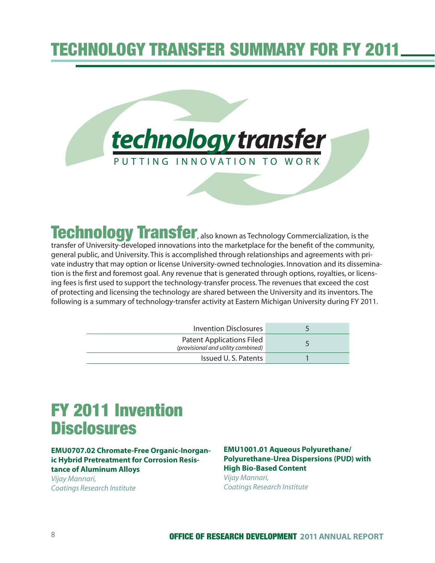# TECHNOLOGY TRANSFER SUMMARY FOR FY 2011



Technology Transfer, also known as Technology Commercialization, is the

transfer of University-developed innovations into the marketplace for the benefit of the community, general public, and University. This is accomplished through relationships and agreements with private industry that may option or license University-owned technologies. Innovation and its dissemination is the first and foremost goal. Any revenue that is generated through options, royalties, or licensing fees is first used to support the technology-transfer process. The revenues that exceed the cost of protecting and licensing the technology are shared between the University and its inventors. The following is a summary of technology-transfer activity at Eastern Michigan University during FY 2011.

| Invention Disclosures                                                  |  |
|------------------------------------------------------------------------|--|
| <b>Patent Applications Filed</b><br>(provisional and utility combined) |  |
| Issued U.S. Patents                                                    |  |

# FY 2011 Invention **Disclosures**

#### **EMU0707.02 Chromate-Free Organic-Inorganic Hybrid Pretreatment for Corrosion Resistance of Aluminum Alloys**

Vijay Mannari, Coatings Research Institute

#### **EMU1001.01 Aqueous Polyurethane/ Polyurethane-Urea Dispersions (PUD) with High Bio-Based Content** Vijay Mannari, Coatings Research Institute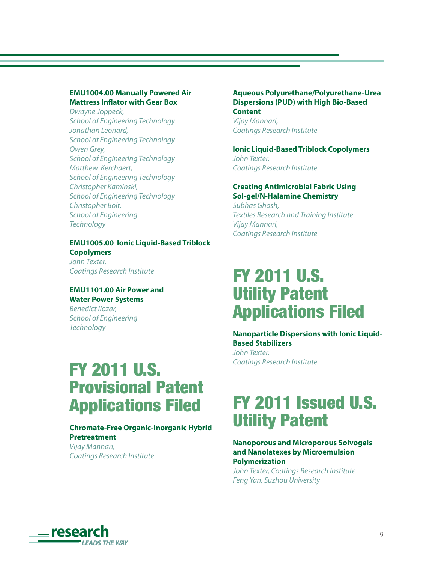#### **EMU1004.00 Manually Powered Air Mattress Inflator with Gear Box**

Dwayne Joppeck, School of Engineering Technology Jonathan Leonard, School of Engineering Technology Owen Grey, School of Engineering Technology Matthew Kerchaert, School of Engineering Technology Christopher Kaminski, School of Engineering Technology Christopher Bolt, School of Engineering **Technology** 

#### **EMU1005.00 Ionic Liquid-Based Triblock Copolymers**

John Texter, Coatings Research Institute

#### **EMU1101.00 Air Power and Water Power Systems**

Benedict Ilozar, School of Engineering **Technology** 

# FY 2011 U.S. Provisional Patent Applications Filed

#### **Chromate-Free Organic-Inorganic Hybrid Pretreatment**

Vijay Mannari, Coatings Research Institute

#### **Aqueous Polyurethane/Polyurethane-Urea Dispersions (PUD) with High Bio-Based Content**

Vijay Mannari, Coatings Research Institute

**Ionic Liquid-Based Triblock Copolymers** John Texter, Coatings Research Institute

#### **Creating Antimicrobial Fabric Using Sol-gel/N-Halamine Chemistry**

Subhas Ghosh, Textiles Research and Training Institute Vijay Mannari, Coatings Research Institute

# FY 2011 U.S. Utility Patent Applications Filed

**Nanoparticle Dispersions with Ionic Liquid-Based Stabilizers** John Texter, Coatings Research Institute

# FY 2011 Issued U.S. Utility Patent

#### **Nanoporous and Microporous Solvogels and Nanolatexes by Microemulsion Polymerization**

John Texter, Coatings Research Institute Feng Yan, Suzhou University

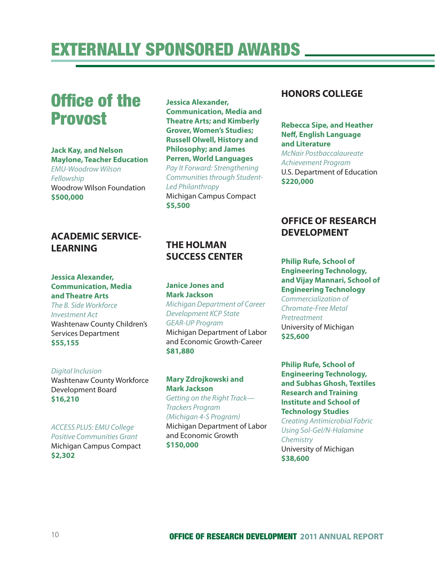# **Office of the** Provost

#### **Jack Kay, and Nelson Maylone, Teacher Education**

EMU-Woodrow Wilson Fellowship Woodrow Wilson Foundation **\$500,000**

**Jessica Alexander, Communication, Media and Theatre Arts; and Kimberly Grover, Women's Studies; Russell Olwell, History and Philosophy; and James Perren, World Languages**  Pay It Forward: Strengthening

Communities through Student-Led Philanthropy Michigan Campus Compact **\$5,500**

### **ACADEMIC SERVICE-LEARNING**

#### **Jessica Alexander, Communication, Media and Theatre Arts**

The B. Side Workforce Investment Act Washtenaw County Children's Services Department **\$55,155**

#### Digital Inclusion Washtenaw County Workforce Development Board **\$16,210**

ACCESS PLUS: EMU College Positive Communities Grant Michigan Campus Compact **\$2,302**

# **THE HOLMAN SUCCESS CENTER**

#### **Janice Jones and Mark Jackson**

Michigan Department of Career Development KCP State GEAR-UP Program Michigan Department of Labor and Economic Growth-Career **\$81,880**

#### **Mary Zdrojkowski and Mark Jackson**

Getting on the Right Track— Trackers Program (Michigan 4-S Program) Michigan Department of Labor and Economic Growth **\$150,000**

### **HONORS COLLEGE**

#### **Rebecca Sipe, and Heather Neff, English Language and Literature**

McNair Postbaccalaureate Achievement Program U.S. Department of Education **\$220,000**

# **OFFICE OF RESEARCH DEVELOPMENT**

### **Philip Rufe, School of Engineering Technology, and Vijay Mannari, School of Engineering Technology** Commercialization of Chromate-Free Metal Pretreatment

University of Michigan **\$25,600**

**Philip Rufe, School of Engineering Technology, and Subhas Ghosh, Textiles Research and Training Institute and School of Technology Studies**

Creating Antimicrobial Fabric Using Sol-Gel/N-Halamine **Chemistry** University of Michigan **\$38,600**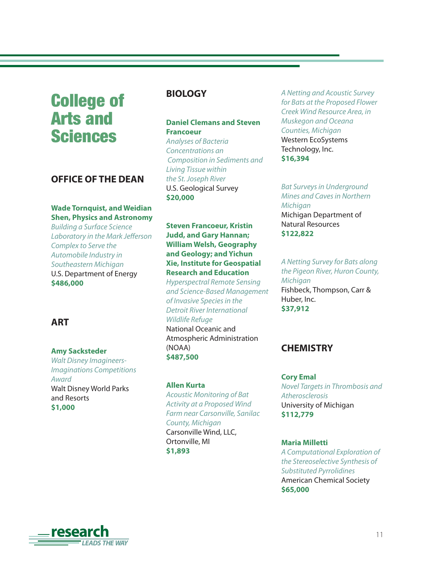# College of Arts and Sciences

### **OFFICE OF THE DEAN**

### **Wade Tornquist, and Weidian Shen, Physics and Astronomy**

Building a Surface Science Laboratory in the Mark Jefferson Complex to Serve the Automobile Industry in Southeastern Michigan U.S. Department of Energy **\$486,000**

### **ART**

#### **Amy Sacksteder**

Walt Disney Imagineers-Imaginations Competitions Award Walt Disney World Parks and Resorts **\$1,000**

### **BIOLOGY**

### **Daniel Clemans and Steven Francoeur**

Analyses of Bacteria Concentrations an Composition in Sediments and Living Tissue within the St. Joseph River U.S. Geological Survey **\$20,000**

#### **Steven Francoeur, Kristin Judd, and Gary Hannan; William Welsh, Geography and Geology; and Yichun Xie, Institute for Geospatial Research and Education**

Hyperspectral Remote Sensing and Science-Based Management of Invasive Species in the Detroit River International Wildlife Refuge National Oceanic and Atmospheric Administration (NOAA) **\$487,500**

#### **Allen Kurta**

Acoustic Monitoring of Bat Activity at a Proposed Wind Farm near Carsonville, Sanilac County, Michigan Carsonville Wind, LLC, Ortonville, MI

**\$1,893**

A Netting and Acoustic Survey for Bats at the Proposed Flower Creek Wind Resource Area, in Muskegon and Oceana Counties, Michigan Western EcoSystems Technology, Inc. **\$16,394**

Bat Surveys in Underground Mines and Caves in Northern **Michiaan** Michigan Department of Natural Resources **\$122,822**

A Netting Survey for Bats along the Pigeon River, Huron County, **Michigan** Fishbeck, Thompson, Carr & Huber, Inc. **\$37,912**

# **CHEMISTRY**

#### **Cory Emal**

Novel Targets in Thrombosis and **Atherosclerosis** University of Michigan **\$112,779**

#### **Maria Milletti**

A Computational Exploration of the Stereoselective Synthesis of Substituted Pyrrolidines American Chemical Society **\$65,000**

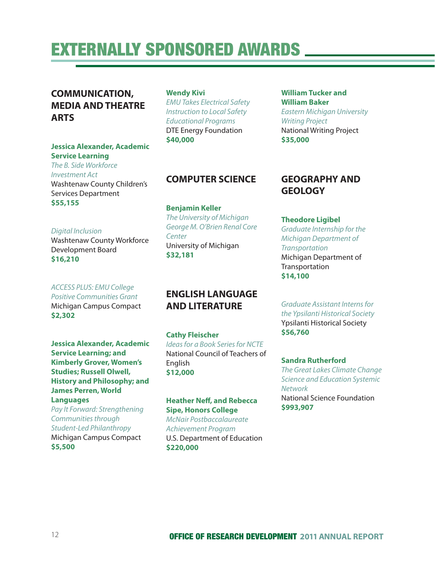# **COMMUNICATION, MEDIA AND THEATRE ARTS**

#### **Jessica Alexander, Academic Service Learning**

The B. Side Workforce Investment Act Washtenaw County Children's Services Department **\$55,155**

#### **Wendy Kivi**

EMU Takes Electrical Safety Instruction to Local Safety Educational Programs DTE Energy Foundation **\$40,000**

### **COMPUTER SCIENCE**

**Benjamin Keller** The University of Michigan George M. O'Brien Renal Core **Center** University of Michigan **\$32,181**

#### Digital Inclusion

Washtenaw County Workforce Development Board **\$16,210**

#### ACCESS PLUS: EMU College

Positive Communities Grant Michigan Campus Compact **\$2,302**

**Jessica Alexander, Academic Service Learning; and Kimberly Grover, Women's Studies; Russell Olwell, History and Philosophy; and James Perren, World**

#### **Languages**

Pay It Forward: Strengthening Communities through Student-Led Philanthropy Michigan Campus Compact **\$5,500**

### **ENGLISH LANGUAGE AND LITERATURE**

#### **Cathy Fleischer** Ideas for a Book Series for NCTE National Council of Teachers of English **\$12,000**

#### **Heather Neff, and Rebecca Sipe, Honors College**

McNair Postbaccalaureate Achievement Program U.S. Department of Education **\$220,000**

#### **William Tucker and William Baker** Eastern Michigan University Writing Project National Writing Project **\$35,000**

# **GEOGRAPHY AND GEOLOGY**

#### **Theodore Ligibel**

Graduate Internship for the Michigan Department of **Transportation** Michigan Department of **Transportation \$14,100**

Graduate Assistant Interns for the Ypsilanti Historical Society Ypsilanti Historical Society **\$56,760**

#### **Sandra Rutherford**

The Great Lakes Climate Change Science and Education Systemic Network National Science Foundation **\$993,907**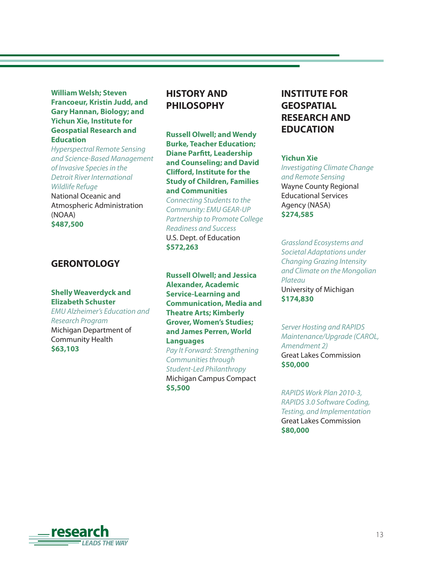**William Welsh; Steven Francoeur, Kristin Judd, and Gary Hannan, Biology; and Yichun Xie, Institute for Geospatial Research and Education**

Hyperspectral Remote Sensing and Science-Based Management of Invasive Species in the Detroit River International Wildlife Refuge National Oceanic and Atmospheric Administration (NOAA) **\$487,500**

### **GERONTOLOGY**

#### **Shelly Weaverdyck and Elizabeth Schuster**

EMU Alzheimer's Education and Research Program Michigan Department of Community Health **\$63,103**

### **HISTORY AND PHILOSOPHY**

**Russell Olwell; and Wendy Burke, Teacher Education; Diane Parfitt, Leadership and Counseling; and David Clifford, Institute for the Study of Children, Families and Communities** 

Connecting Students to the Community: EMU GEAR-UP Partnership to Promote College Readiness and Success U.S. Dept. of Education **\$572,263**

**Russell Olwell; and Jessica Alexander, Academic Service-Learning and Communication, Media and Theatre Arts; Kimberly Grover, Women's Studies; and James Perren, World Languages** 

Pay It Forward: Strengthening Communities through Student-Led Philanthropy Michigan Campus Compact **\$5,500**

# **INSTITUTE FOR GEOSPATIAL RESEARCH AND EDUCATION**

#### **Yichun Xie**

Investigating Climate Change and Remote Sensing Wayne County Regional Educational Services Agency (NASA) **\$274,585**

Grassland Ecosystems and Societal Adaptations under Changing Grazing Intensity and Climate on the Mongolian Plateau University of Michigan **\$174,830**

Server Hosting and RAPIDS Maintenance/Upgrade (CAROL, Amendment 2) Great Lakes Commission **\$50,000**

RAPIDS Work Plan 2010-3, RAPIDS 3.0 Software Coding, Testing, and Implementation Great Lakes Commission **\$80,000**

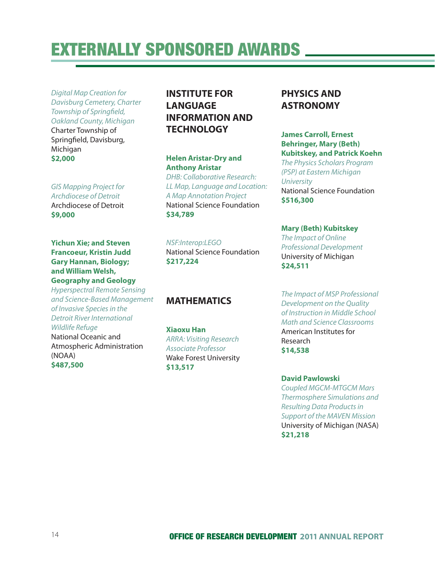Digital Map Creation for Davisburg Cemetery, Charter Township of Springfield, Oakland County, Michigan Charter Township of

Springfield, Davisburg, Michigan **\$2,000**

GIS Mapping Project for Archdiocese of Detroit Archdiocese of Detroit **\$9,000**

**Yichun Xie; and Steven Francoeur, Kristin Judd Gary Hannan, Biology; and William Welsh, Geography and Geology**

Hyperspectral Remote Sensing and Science-Based Management of Invasive Species in the Detroit River International Wildlife Refuge National Oceanic and

Atmospheric Administration (NOAA) **\$487,500**

# **INSTITUTE FOR LANGUAGE INFORMATION AND TECHNOLOGY**

**Helen Aristar-Dry and Anthony Aristar** DHB: Collaborative Research: LL Map, Language and Location: A Map Annotation Project National Science Foundation **\$34,789**

NSF:Interop:LEGO National Science Foundation **\$217,224**

### **MATHEMATICS**

**Xiaoxu Han** ARRA: Visiting Research Associate Professor Wake Forest University **\$13,517**

### **PHYSICS AND ASTRONOMY**

#### **James Carroll, Ernest Behringer, Mary (Beth) Kubitskey, and Patrick Koehn**

The Physics Scholars Program (PSP) at Eastern Michigan **University** National Science Foundation **\$516,300**

**Mary (Beth) Kubitskey**

The Impact of Online Professional Development University of Michigan **\$24,511**

The Impact of MSP Professional Development on the Quality of Instruction in Middle School Math and Science Classrooms American Institutes for Research **\$14,538**

#### **David Pawlowski**

Coupled MGCM-MTGCM Mars Thermosphere Simulations and Resulting Data Products in Support of the MAVEN Mission University of Michigan (NASA) **\$21,218**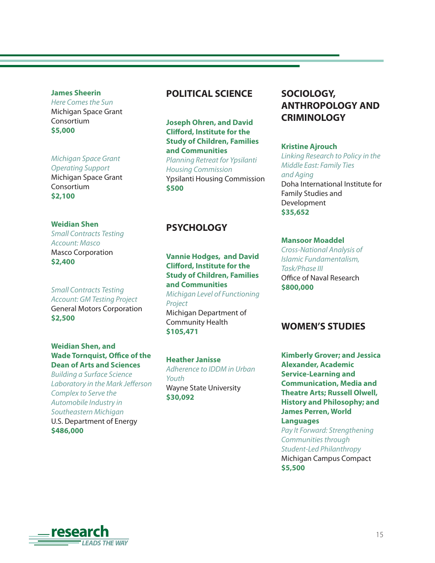#### **James Sheerin**

Here Comes the Sun Michigan Space Grant Consortium **\$5,000**

#### Michigan Space Grant

Operating Support Michigan Space Grant Consortium **\$2,100**

#### **Weidian Shen**

Small Contracts Testing Account: Masco Masco Corporation **\$2,400**

Small Contracts Testing Account: GM Testing Project General Motors Corporation **\$2,500**

#### **Weidian Shen, and Wade Tornquist, Office of the Dean of Arts and Sciences**

Building a Surface Science Laboratory in the Mark Jefferson Complex to Serve the Automobile Industry in Southeastern Michigan U.S. Department of Energy **\$486,000**

### **POLITICAL SCIENCE**

**Joseph Ohren, and David Clifford, Institute for the Study of Children, Families and Communities** Planning Retreat for Ypsilanti

Housing Commission Ypsilanti Housing Commission **\$500**

#### **PSYCHOLOGY**

**Vannie Hodges, and David Clifford, Institute for the Study of Children, Families and Communities**  Michigan Level of Functioning Project Michigan Department of Community Health **\$105,471**

**Heather Janisse** Adherence to IDDM in Urban Youth Wayne State University **\$30,092**

# **SOCIOLOGY, ANTHROPOLOGY AND CRIMINOLOGY**

#### **Kristine Ajrouch**

Linking Research to Policy in the Middle East: Family Ties and Aging Doha International Institute for Family Studies and Development **\$35,652**

#### **Mansoor Moaddel**

Cross-National Analysis of Islamic Fundamentalism, Task/Phase III Office of Naval Research **\$800,000**

### **WOMEN'S STUDIES**

**Kimberly Grover; and Jessica Alexander, Academic Service-Learning and Communication, Media and Theatre Arts; Russell Olwell, History and Philosophy; and James Perren, World Languages**

Pay It Forward: Strengthening Communities through Student-Led Philanthropy Michigan Campus Compact **\$5,500**

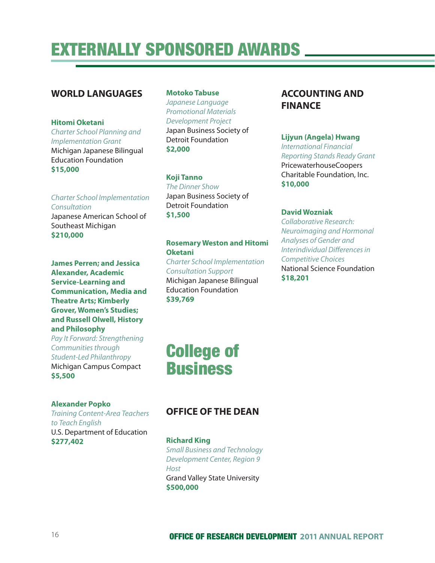### **WORLD LANGUAGES**

**Hitomi Oketani** Charter School Planning and

Implementation Grant Michigan Japanese Bilingual Education Foundation **\$15,000**

Charter School Implementation Consultation

Japanese American School of Southeast Michigan **\$210,000**

**James Perren; and Jessica Alexander, Academic Service-Learning and Communication, Media and Theatre Arts; Kimberly Grover, Women's Studies; and Russell Olwell, History and Philosophy** 

Pay It Forward: Strengthening Communities through Student-Led Philanthropy Michigan Campus Compact **\$5,500**

#### **Motoko Tabuse**

Japanese Language Promotional Materials Development Project Japan Business Society of Detroit Foundation **\$2,000**

#### **Koji Tanno**

The Dinner Show Japan Business Society of Detroit Foundation **\$1,500**

#### **Rosemary Weston and Hitomi Oketani**

Charter School Implementation Consultation Support Michigan Japanese Bilingual Education Foundation **\$39,769**

### **ACCOUNTING AND FINANCE**

#### **Lijyun (Angela) Hwang**

International Financial Reporting Stands Ready Grant PricewaterhouseCoopers Charitable Foundation, Inc. **\$10,000**

#### **David Wozniak**

Collaborative Research: Neuroimaging and Hormonal Analyses of Gender and Interindividual Differences in Competitive Choices National Science Foundation **\$18,201**

# College of Business

#### **Alexander Popko**

Training Content-Area Teachers to Teach English U.S. Department of Education **\$277,402**

# **OFFICE OF THE DEAN**

**Richard King** Small Business and Technology Development Center, Region 9 **Host** Grand Valley State University **\$500,000**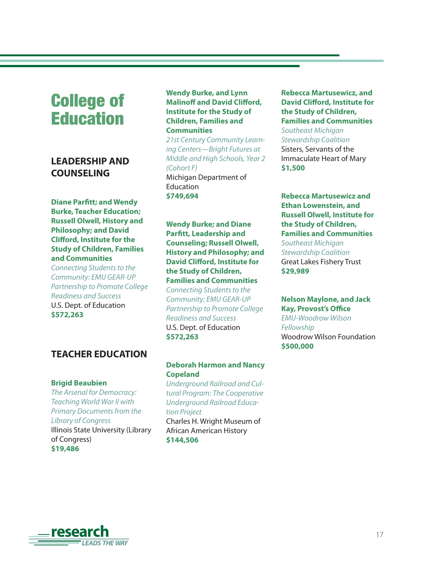# College of **Education**

# **LEADERSHIP AND COUNSELING**

**Diane Parfitt; and Wendy Burke, Teacher Education; Russell Olwell, History and Philosophy; and David Clifford, Institute for the Study of Children, Families and Communities** 

Connecting Students to the Community: EMU GEAR-UP Partnership to Promote College Readiness and Success U.S. Dept. of Education **\$572,263**

### **TEACHER EDUCATION**

#### **Brigid Beaubien**

The Arsenal for Democracy: Teaching World War II with Primary Documents from the Library of Congress Illinois State University (Library of Congress) **\$19,486**

#### **Wendy Burke, and Lynn Malinoff and David Clifford, Institute for the Study of Children, Families and Communities**

21st Century Community Learning Centers—Bright Futures at Middle and High Schools, Year 2 (Cohort F) Michigan Department of Education **\$749,694**

#### **Wendy Burke; and Diane Parfitt, Leadership and Counseling; Russell Olwell, History and Philosophy; and David Clifford, Institute for the Study of Children, Families and Communities**

Connecting Students to the Community: EMU GEAR-UP Partnership to Promote College Readiness and Success U.S. Dept. of Education **\$572,263**

#### **Deborah Harmon and Nancy Copeland**

Underground Railroad and Cultural Program: The Cooperative Underground Railroad Education Project

Charles H. Wright Museum of African American History **\$144,506**

#### **Rebecca Martusewicz, and David Clifford, Institute for the Study of Children, Families and Communities**

Southeast Michigan Stewardship Coalition Sisters, Servants of the Immaculate Heart of Mary **\$1,500**

#### **Rebecca Martusewicz and Ethan Lowenstein, and Russell Olwell, Institute for the Study of Children, Families and Communities**

Southeast Michigan Stewardship Coalition Great Lakes Fishery Trust **\$29,989**

#### **Nelson Maylone, and Jack Kay, Provost's Office**

EMU-Woodrow Wilson Fellowship Woodrow Wilson Foundation **\$500,000**

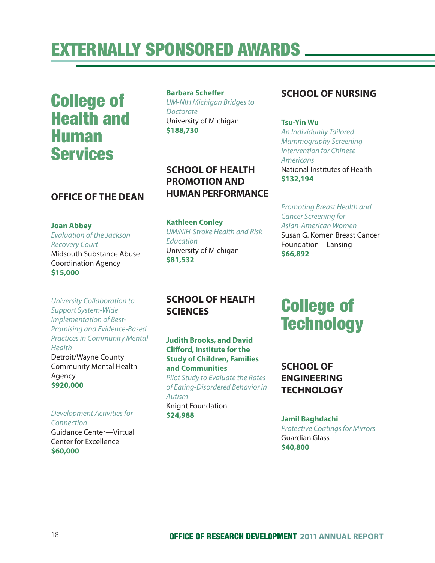College of Health and Human Services

### **OFFICE OF THE DEAN**

#### **Joan Abbey**

**Health** 

Agency **\$920,000**

Evaluation of the Jackson Recovery Court Midsouth Substance Abuse Coordination Agency **\$15,000**

University Collaboration to Support System-Wide Implementation of Best-Promising and Evidence-Based Practices in Community Mental

#### **Barbara Scheffer**

UM-NIH Michigan Bridges to **Doctorate** University of Michigan **\$188,730**

**SCHOOL OF HEALTH PROMOTION AND HUMAN PERFORMANCE**

#### **Kathleen Conley** UM:NIH-Stroke Health and Risk **Education** University of Michigan **\$81,532**

# **SCHOOL OF NURSING**

**Tsu-Yin Wu** An Individually Tailored Mammography Screening Intervention for Chinese Americans National Institutes of Health **\$132,194**

Promoting Breast Health and Cancer Screening for Asian-American Women Susan G. Komen Breast Cancer Foundation—Lansing **\$66,892**

# **SCHOOL OF HEALTH SCIENCES**

**Judith Brooks, and David Clifford, Institute for the Study of Children, Families and Communities** Pilot Study to Evaluate the Rates of Eating-Disordered Behavior in Autism Knight Foundation **\$24,988**

# College of **Technology**

**SCHOOL OF ENGINEERING TECHNOLOGY**

**Jamil Baghdachi** Protective Coatings for Mirrors Guardian Glass **\$40,800**

#### Development Activities for Connection

Detroit/Wayne County Community Mental Health

Guidance Center—Virtual Center for Excellence **\$60,000**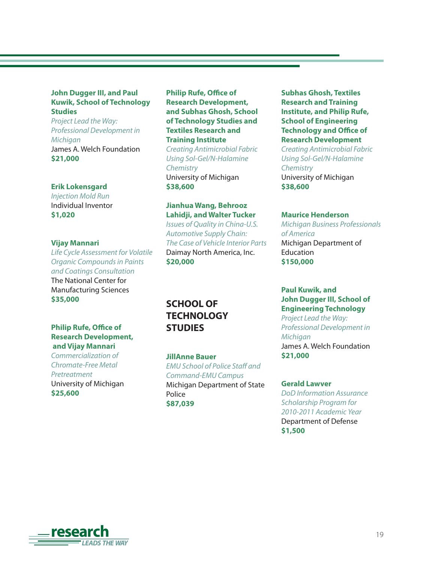#### **John Dugger III, and Paul Kuwik, School of Technology Studies**

Project Lead the Way: Professional Development in **Michigan** James A. Welch Foundation **\$21,000**

#### **Erik Lokensgard**

Injection Mold Run Individual Inventor **\$1,020** 

#### **Vijay Mannari**

Life Cycle Assessment for Volatile Organic Compounds in Paints and Coatings Consultation The National Center for Manufacturing Sciences **\$35,000**

#### **Philip Rufe, Office of Research Development, and Vijay Mannari**

Commercialization of Chromate-Free Metal Pretreatment University of Michigan **\$25,600**

#### **Philip Rufe, Office of Research Development, and Subhas Ghosh, School of Technology Studies and Textiles Research and Training Institute**

Creating Antimicrobial Fabric Using Sol-Gel/N-Halamine **Chemistry** University of Michigan **\$38,600**

#### **Jianhua Wang, Behrooz Lahidji, and Walter Tucker**

Issues of Quality in China-U.S. Automotive Supply Chain: The Case of Vehicle Interior Parts Daimay North America, Inc. **\$20,000**

#### **Subhas Ghosh, Textiles Research and Training Institute, and Philip Rufe, School of Engineering Technology and Office of Research Development**

Creating Antimicrobial Fabric Using Sol-Gel/N-Halamine **Chemistry** University of Michigan **\$38,600**

#### **Maurice Henderson**

Michigan Business Professionals of America Michigan Department of Education **\$150,000**

#### **Paul Kuwik, and John Dugger III, School of Engineering Technology**

Project Lead the Way: Professional Development in **Michigan** James A. Welch Foundation **\$21,000**

#### **Gerald Lawver**

DoD Information Assurance Scholarship Program for 2010-2011 Academic Year Department of Defense **\$1,500**

# **SCHOOL OF TECHNOLOGY STUDIES**

**JillAnne Bauer** EMU School of Police Staff and Command-EMU Campus Michigan Department of State

Police **\$87,039**

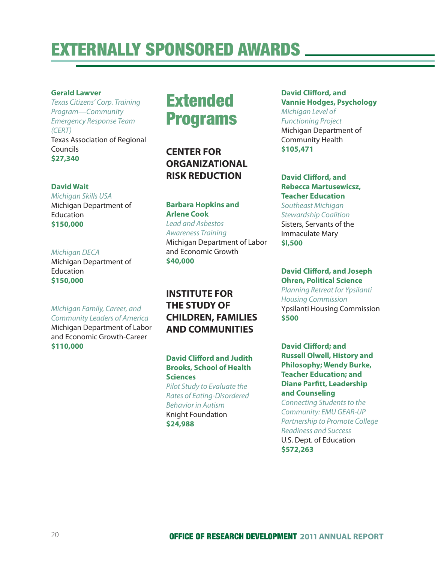#### **Gerald Lawver**

Texas Citizens' Corp. Training Program—Community Emergency Response Team (CERT) Texas Association of Regional Councils **\$27,340**

#### **David Wait**

Michigan Skills USA Michigan Department of Education **\$150,000**

#### Michigan DECA

Michigan Department of Education **\$150,000**

#### Michigan Family, Career, and Community Leaders of America

Michigan Department of Labor and Economic Growth-Career **\$110,000**

# **Extended** Programs

**CENTER FOR ORGANIZATIONAL RISK REDUCTION**

#### **Barbara Hopkins and Arlene Cook**

Lead and Asbestos Awareness Training Michigan Department of Labor and Economic Growth **\$40,000**

# **INSTITUTE FOR THE STUDY OF CHILDREN, FAMILIES AND COMMUNITIES**

#### **David Clifford and Judith Brooks, School of Health Sciences**

Pilot Study to Evaluate the Rates of Eating-Disordered Behavior in Autism Knight Foundation **\$24,988**

#### **David Clifford, and Vannie Hodges, Psychology** Michigan Level of Functioning Project Michigan Department of Community Health **\$105,471**

#### **David Clifford, and Rebecca Martusewicsz, Teacher Education** Southeast Michigan Stewardship Coalition

Sisters, Servants of the Immaculate Mary **\$l,500**

#### **David Clifford, and Joseph Ohren, Political Science**

Planning Retreat for Ypsilanti Housing Commission Ypsilanti Housing Commission **\$500**

#### **David Clifford; and Russell Olwell, History and Philosophy; Wendy Burke, Teacher Education; and Diane Parfitt, Leadership and Counseling**

Connecting Students to the Community: EMU GEAR-UP Partnership to Promote College Readiness and Success U.S. Dept. of Education **\$572,263**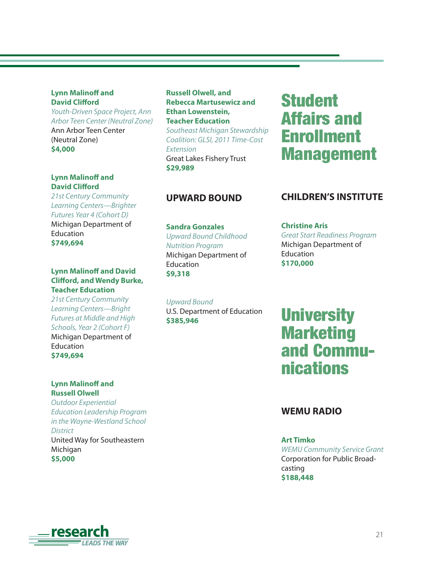#### **Lynn Malinoff and David Clifford**

Youth-Driven Space Project, Ann Arbor Teen Center (Neutral Zone) Ann Arbor Teen Center (Neutral Zone) **\$4,000**

#### **Lynn Malinoff and David Clifford**

21st Century Community Learning Centers—Brighter Futures Year 4 (Cohort D) Michigan Department of **Education** 

**\$749,694**

#### **Lynn Malinoff and David Clifford, and Wendy Burke, Teacher Education**

21st Century Community Learning Centers—Bright Futures at Middle and High Schools, Year 2 (Cohort F) Michigan Department of **Education \$749,694**

#### **Lynn Malinoff and Russell Olwell**

Outdoor Experiential Education Leadership Program in the Wayne-Westland School **District** United Way for Southeastern Michigan **\$5,000**

**Russell Olwell, and Rebecca Martusewicz and Ethan Lowenstein, Teacher Education** Southeast Michigan Stewardship Coalition: GLSI, 2011 Time-Cost Extension Great Lakes Fishery Trust **\$29,989**

# Student Affairs and Enrollment Management

### **UPWARD BOUND**

**Sandra Gonzales**  Upward Bound Childhood Nutrition Program Michigan Department of **Education \$9,318**

Upward Bound U.S. Department of Education **\$385,946**

### **CHILDREN'S INSTITUTE**

#### **Christine Aris**  Great Start Readiness Program Michigan Department of Education **\$170,000**

# **University Marketing** and Communications

### **WEMU RADIO**

#### **Art Timko**

WEMU Community Service Grant Corporation for Public Broadcasting **\$188,448**

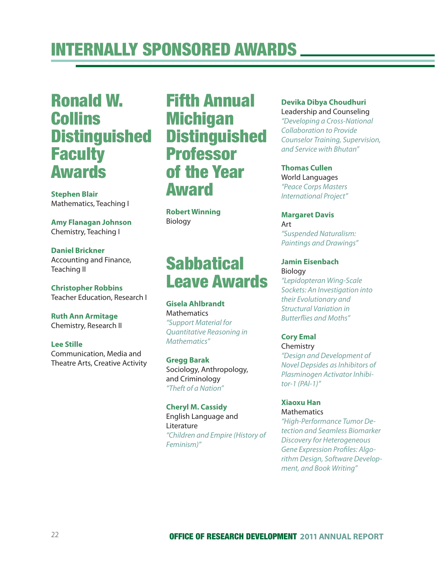# Ronald W. Collins **Distinguished Faculty** Awards

**Stephen Blair** Mathematics, Teaching I

**Amy Flanagan Johnson** Chemistry, Teaching I

**Daniel Brickner** Accounting and Finance, Teaching II

**Christopher Robbins** Teacher Education, Research I

**Ruth Ann Armitage** Chemistry, Research II

**Lee Stille** Communication, Media and Theatre Arts, Creative Activity

# Fifth Annual **Michigan Distinguished** Professor of the Year Award

**Robert Winning** Biology

# **Sabbatical** Leave Awards

**Gisela Ahlbrandt Mathematics** "Support Material for Quantitative Reasoning in Mathematics"

**Gregg Barak** Sociology, Anthropology, and Criminology "Theft of a Nation"

**Cheryl M. Cassidy** English Language and Literature "Children and Empire (History of Feminism)"

### **Devika Dibya Choudhuri**

Leadership and Counseling "Developing a Cross-National Collaboration to Provide Counselor Training, Supervision, and Service with Bhutan"

**Thomas Cullen** World Languages "Peace Corps Masters International Project"

**Margaret Davis** Art "Suspended Naturalism: Paintings and Drawings"

#### **Jamin Eisenbach** Biology

"Lepidopteran Wing-Scale Sockets: An Investigation into their Evolutionary and Structural Variation in Butterflies and Moths"

#### **Cory Emal** Chemistry

"Design and Development of Novel Depsides as Inhibitors of Plasminogen Activator Inhibitor-1 (PAl-1)"

**Xiaoxu Han Mathematics** 

"High-Performance Tumor Detection and Seamless Biomarker Discovery for Heterogeneous Gene Expression Profiles: Algorithm Design, Software Development, and Book Writing"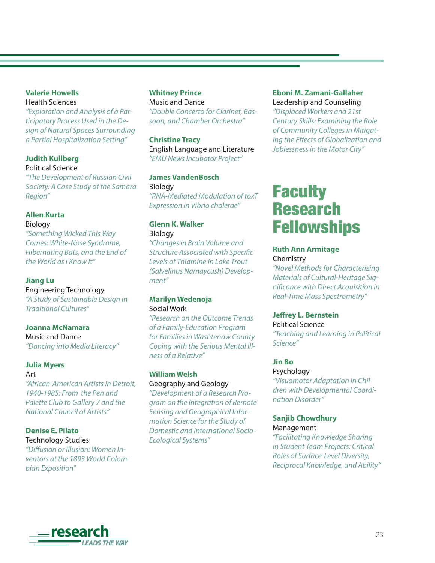#### **Valerie Howells**

Health Sciences "Exploration and Analysis of a Participatory Process Used in the Design of Natural Spaces Surrounding a Partial Hospitalization Setting"

#### **Judith Kullberg** Political Science

"The Development of Russian Civil Society: A Case Study of the Samara Region"

#### **Allen Kurta** Biology

"Something Wicked This Way Comes: White-Nose Syndrome, Hibernating Bats, and the End of the World as I Know It"

#### **Jiang Lu**

Engineering Technology "A Study of Sustainable Design in Traditional Cultures"

#### **Joanna McNamara**

Music and Dance "Dancing into Media Literacy"

### **Julia Myers**

Art

"African-American Artists in Detroit, 1940-1985: From the Pen and Palette Club to Gallery 7 and the National Council of Artists"

#### **Denise E. Pilato** Technology Studies

"Diffusion or Illusion: Women Inventors at the 1893 World Colombian Exposition"

#### **Whitney Prince**

Music and Dance "Double Concerto for Clarinet, Bassoon, and Chamber Orchestra"

#### **Christine Tracy**

English Language and Literature "EMU News Incubator Project"

**James VandenBosch Biology** "RNA-Mediated Modulation of toxT Expression in Vibrio cholerae"

### **Glenn K. Walker**

**Biology** 

"Changes in Brain Volume and **Structure Associated with Specific** Levels of Thiamine in Lake Trout (Salvelinus Namaycush) Development"

#### **Marilyn Wedenoja** Social Work

"Research on the Outcome Trends of a Family-Education Program for Families in Washtenaw County Coping with the Serious Mental Illness of a Relative"

### **William Welsh**

Geography and Geology "Development of a Research Program on the Integration of Remote Sensing and Geographical Information Science for the Study of Domestic and International Socio-Ecological Systems"

#### **Eboni M. Zamani-Gallaher**

Leadership and Counseling "Displaced Workers and 21st Century Skills: Examining the Role of Community Colleges in Mitigating the Effects of Globalization and Joblessness in the Motor City"

# **Faculty** Research Fellowships

#### **Ruth Ann Armitage** Chemistry

"Novel Methods for Characterizing Materials of Cultural-Heritage Significance with Direct Acquisition in Real-Time Mass Spectrometry"

#### **Jeffrey L. Bernstein**

Political Science "Teaching and Learning in Political Science"

#### **Jin Bo**

#### Psychology

"Visuomotor Adaptation in Children with Developmental Coordination Disorder"

# **Sanjib Chowdhury**

Management

"Facilitating Knowledge Sharing in Student Team Projects: Critical Roles of Surface-Level Diversity, Reciprocal Knowledge, and Ability"

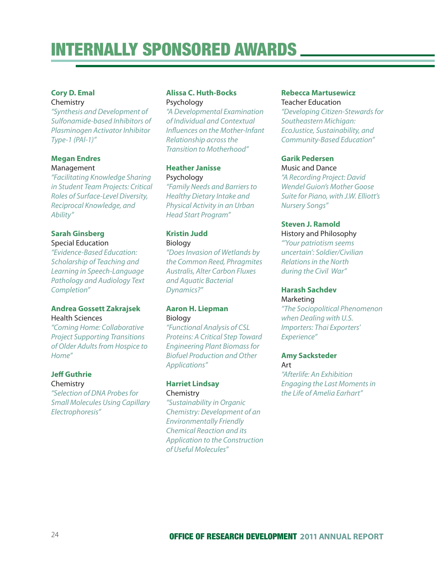#### **Cory D. Emal**

#### Chemistry

"Synthesis and Development of Sulfonamide-based Inhibitors of Plasminogen Activator Inhibitor Type-1 (PAl-1)"

#### **Megan Endres** Management

"Facilitating Knowledge Sharing in Student Team Projects: Critical Roles of Surface-Level Diversity, Reciprocal Knowledge, and Ability"

#### **Sarah Ginsberg**

#### Special Education

"Evidence-Based Education: Scholarship of Teaching and Learning in Speech-Language Pathology and Audiology Text Completion"

#### **Andrea Gossett Zakrajsek** Health Sciences

"Coming Home: Collaborative Project Supporting Transitions of Older Adults from Hospice to Home"

#### **Jeff Guthrie**

#### Chemistry

"Selection of DNA Probes for Small Molecules Using Capillary Electrophoresis"

#### **Alissa C. Huth-Bocks** Psychology

"A Developmental Examination of Individual and Contextual Influences on the Mother-Infant Relationship across the Transition to Motherhood"

#### **Heather Janisse** Psychology

"Family Needs and Barriers to Healthy Dietary Intake and Physical Activity in an Urban Head Start Program"

#### **Kristin Judd**

Biology

"Does Invasion of Wetlands by the Common Reed, Phragmites Australis, Alter Carbon Fluxes and Aquatic Bacterial Dynamics?"

#### **Aaron H. Liepman** Biology

"Functional Analysis of CSL Proteins: A Critical Step Toward Engineering Plant Biomass for Biofuel Production and Other Applications"

#### **Harriet Lindsay** Chemistry

"Sustainability in Organic Chemistry: Development of an Environmentally Friendly Chemical Reaction and its Application to the Construction of Useful Molecules"

#### **Rebecca Martusewicz**

Teacher Education "Developing Citizen-Stewards for Southeastern Michigan: EcoJustice, Sustainability, and Community-Based Education"

#### **Garik Pedersen**

#### Music and Dance

"A Recording Project: David Wendel Guion's Mother Goose Suite for Piano, with J.W. Elliott's Nursery Songs"

#### **Steven J. Ramold**

History and Philosophy "'Your patriotism seems uncertain': Soldier/Civilian Relations in the North during the Civil War"

#### **Harash Sachdev** Marketing

"The Sociopolitical Phenomenon when Dealing with U.S. Importers: Thai Exporters' Experience"

#### **Amy Sacksteder** Art

"Afterlife: An Exhibition Engaging the Last Moments in the Life of Amelia Earhart"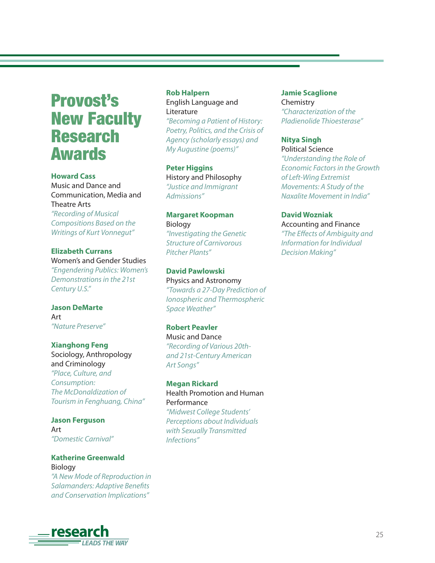# Provost's New Faculty Research Awards

#### **Howard Cass**

Music and Dance and Communication, Media and Theatre Arts "Recording of Musical Compositions Based on the

Writings of Kurt Vonnegut"

#### **Elizabeth Currans** Women's and Gender Studies "Engendering Publics: Women's

Demonstrations in the 21st Century U.S."

#### **Jason DeMarte** Art "Nature Preserve"

#### **Xianghong Feng**

Sociology, Anthropology and Criminology "Place, Culture, and Consumption: The McDonaldization of Tourism in Fenghuang, China"

**Jason Ferguson** Art "Domestic Carnival"

### **Katherine Greenwald** Biology "A New Mode of Reproduction in

Salamanders: Adaptive Benefits and Conservation Implications"

#### **Rob Halpern**

English Language and **Literature** 

"Becoming a Patient of History: Poetry, Politics, and the Crisis of Agency (scholarly essays) and My Augustine (poems)"

#### **Peter Higgins**

History and Philosophy "Justice and Immigrant Admissions"

# **Margaret Koopman** Biology "Investigating the Genetic

Structure of Carnivorous Pitcher Plants"

#### **David Pawlowski** Physics and Astronomy "Towards a 27-Day Prediction of Ionospheric and Thermospheric Space Weather"

#### **Robert Peavler** Music and Dance "Recording of Various 20thand 21st-Century American Art Songs"

**Megan Rickard** Health Promotion and Human Performance "Midwest College Students' Perceptions about Individuals with Sexually Transmitted Infections"

### **Jamie Scaglione**

Chemistry "Characterization of the Pladienolide Thioesterase"

#### **Nitya Singh**

Political Science "Understanding the Role of Economic Factors in the Growth of Left-Wing Extremist Movements: A Study of the Naxalite Movement in India"

#### **David Wozniak**

Accounting and Finance "The Effects of Ambiguity and Information for Individual Decision Making"